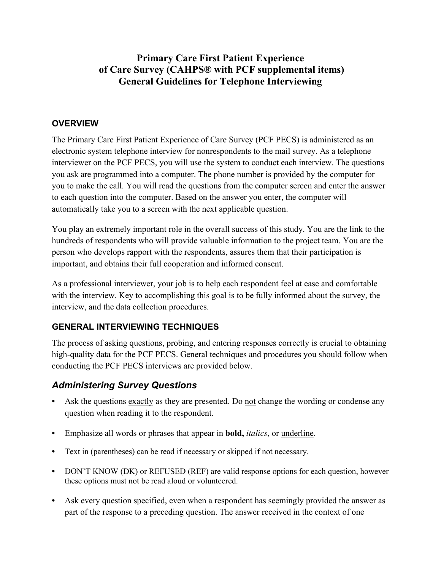# **Primary Care First Patient Experience of Care Survey (CAHPS® with PCF supplemental items) General Guidelines for Telephone Interviewing**

#### **OVERVIEW**

The Primary Care First Patient Experience of Care Survey (PCF PECS) is administered as an electronic system telephone interview for nonrespondents to the mail survey. As a telephone interviewer on the PCF PECS, you will use the system to conduct each interview. The questions you ask are programmed into a computer. The phone number is provided by the computer for you to make the call. You will read the questions from the computer screen and enter the answer to each question into the computer. Based on the answer you enter, the computer will automatically take you to a screen with the next applicable question.

You play an extremely important role in the overall success of this study. You are the link to the hundreds of respondents who will provide valuable information to the project team. You are the person who develops rapport with the respondents, assures them that their participation is important, and obtains their full cooperation and informed consent.

As a professional interviewer, your job is to help each respondent feel at ease and comfortable with the interview. Key to accomplishing this goal is to be fully informed about the survey, the interview, and the data collection procedures.

### **GENERAL INTERVIEWING TECHNIQUES**

The process of asking questions, probing, and entering responses correctly is crucial to obtaining high-quality data for the PCF PECS. General techniques and procedures you should follow when conducting the PCF PECS interviews are provided below.

### *Administering Survey Questions*

- **•** Ask the questions exactly as they are presented. Do not change the wording or condense any question when reading it to the respondent.
- **•** Emphasize all words or phrases that appear in **bold,** *italics*, or underline.
- **•** Text in (parentheses) can be read if necessary or skipped if not necessary.
- **•** DON'T KNOW (DK) or REFUSED (REF) are valid response options for each question, however these options must not be read aloud or volunteered.
- **•** Ask every question specified, even when a respondent has seemingly provided the answer as part of the response to a preceding question. The answer received in the context of one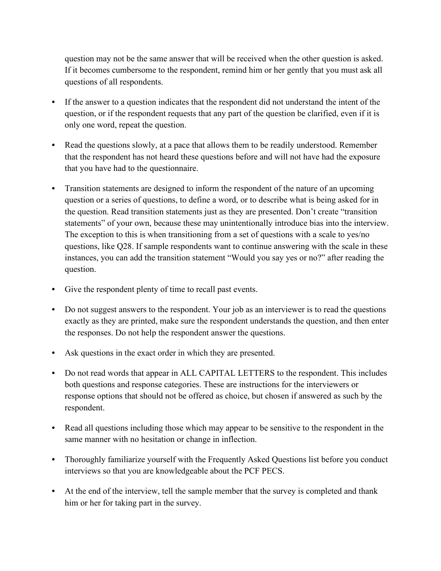question may not be the same answer that will be received when the other question is asked. If it becomes cumbersome to the respondent, remind him or her gently that you must ask all questions of all respondents.

- If the answer to a question indicates that the respondent did not understand the intent of the question, or if the respondent requests that any part of the question be clarified, even if it is only one word, repeat the question.
- **•** Read the questions slowly, at a pace that allows them to be readily understood. Remember that the respondent has not heard these questions before and will not have had the exposure that you have had to the questionnaire.
- **•** Transition statements are designed to inform the respondent of the nature of an upcoming question or a series of questions, to define a word, or to describe what is being asked for in the question. Read transition statements just as they are presented. Don't create "transition statements" of your own, because these may unintentionally introduce bias into the interview. The exception to this is when transitioning from a set of questions with a scale to yes/no questions, like Q28. If sample respondents want to continue answering with the scale in these instances, you can add the transition statement "Would you say yes or no?" after reading the question.
- **•** Give the respondent plenty of time to recall past events.
- **•** Do not suggest answers to the respondent. Your job as an interviewer is to read the questions exactly as they are printed, make sure the respondent understands the question, and then enter the responses. Do not help the respondent answer the questions.
- Ask questions in the exact order in which they are presented.
- **•** Do not read words that appear in ALL CAPITAL LETTERS to the respondent. This includes both questions and response categories. These are instructions for the interviewers or response options that should not be offered as choice, but chosen if answered as such by the respondent.
- **•** Read all questions including those which may appear to be sensitive to the respondent in the same manner with no hesitation or change in inflection.
- **•** Thoroughly familiarize yourself with the Frequently Asked Questions list before you conduct interviews so that you are knowledgeable about the PCF PECS.
- At the end of the interview, tell the sample member that the survey is completed and thank him or her for taking part in the survey.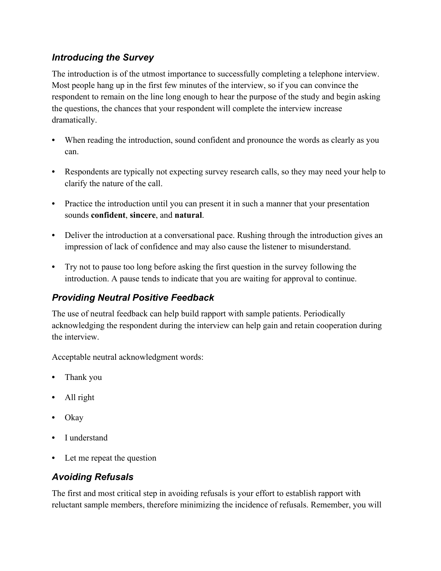### *Introducing the Survey*

The introduction is of the utmost importance to successfully completing a telephone interview. Most people hang up in the first few minutes of the interview, so if you can convince the respondent to remain on the line long enough to hear the purpose of the study and begin asking the questions, the chances that your respondent will complete the interview increase dramatically.

- **•** When reading the introduction, sound confident and pronounce the words as clearly as you can.
- **•** Respondents are typically not expecting survey research calls, so they may need your help to clarify the nature of the call.
- Practice the introduction until you can present it in such a manner that your presentation sounds **confident**, **sincere**, and **natural**.
- Deliver the introduction at a conversational pace. Rushing through the introduction gives an impression of lack of confidence and may also cause the listener to misunderstand.
- **•** Try not to pause too long before asking the first question in the survey following the introduction. A pause tends to indicate that you are waiting for approval to continue.

# *Providing Neutral Positive Feedback*

The use of neutral feedback can help build rapport with sample patients. Periodically acknowledging the respondent during the interview can help gain and retain cooperation during the interview.

Acceptable neutral acknowledgment words:

- **•** Thank you
- **•** All right
- **•** Okay
- **•** I understand
- Let me repeat the question

# *Avoiding Refusals*

The first and most critical step in avoiding refusals is your effort to establish rapport with reluctant sample members, therefore minimizing the incidence of refusals. Remember, you will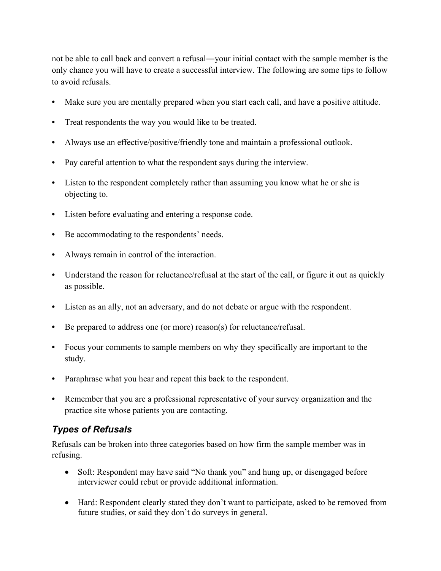not be able to call back and convert a refusal―your initial contact with the sample member is the only chance you will have to create a successful interview. The following are some tips to follow to avoid refusals.

- **•** Make sure you are mentally prepared when you start each call, and have a positive attitude.
- **•** Treat respondents the way you would like to be treated.
- **•** Always use an effective/positive/friendly tone and maintain a professional outlook.
- Pay careful attention to what the respondent says during the interview.
- Listen to the respondent completely rather than assuming you know what he or she is objecting to.
- **•** Listen before evaluating and entering a response code.
- Be accommodating to the respondents' needs.
- **•** Always remain in control of the interaction.
- Understand the reason for reluctance/refusal at the start of the call, or figure it out as quickly as possible.
- Listen as an ally, not an adversary, and do not debate or argue with the respondent.
- Be prepared to address one (or more) reason(s) for reluctance/refusal.
- **•** Focus your comments to sample members on why they specifically are important to the study.
- Paraphrase what you hear and repeat this back to the respondent.
- **•** Remember that you are a professional representative of your survey organization and the practice site whose patients you are contacting.

### *Types of Refusals*

Refusals can be broken into three categories based on how firm the sample member was in refusing.

- Soft: Respondent may have said "No thank you" and hung up, or disengaged before interviewer could rebut or provide additional information.
- Hard: Respondent clearly stated they don't want to participate, asked to be removed from future studies, or said they don't do surveys in general.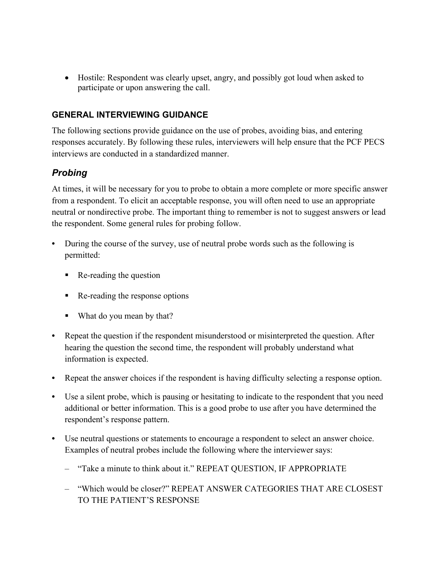• Hostile: Respondent was clearly upset, angry, and possibly got loud when asked to participate or upon answering the call.

#### **GENERAL INTERVIEWING GUIDANCE**

The following sections provide guidance on the use of probes, avoiding bias, and entering responses accurately. By following these rules, interviewers will help ensure that the PCF PECS interviews are conducted in a standardized manner.

### *Probing*

At times, it will be necessary for you to probe to obtain a more complete or more specific answer from a respondent. To elicit an acceptable response, you will often need to use an appropriate neutral or nondirective probe. The important thing to remember is not to suggest answers or lead the respondent. Some general rules for probing follow.

- **•** During the course of the survey, use of neutral probe words such as the following is permitted:
	- Re-reading the question
	- Re-reading the response options
	- What do you mean by that?
- **•** Repeat the question if the respondent misunderstood or misinterpreted the question. After hearing the question the second time, the respondent will probably understand what information is expected.
- **•** Repeat the answer choices if the respondent is having difficulty selecting a response option.
- **•** Use a silent probe, which is pausing or hesitating to indicate to the respondent that you need additional or better information. This is a good probe to use after you have determined the respondent's response pattern.
- **•** Use neutral questions or statements to encourage a respondent to select an answer choice. Examples of neutral probes include the following where the interviewer says:
	- "Take a minute to think about it." REPEAT QUESTION, IF APPROPRIATE
	- "Which would be closer?" REPEAT ANSWER CATEGORIES THAT ARE CLOSEST TO THE PATIENT'S RESPONSE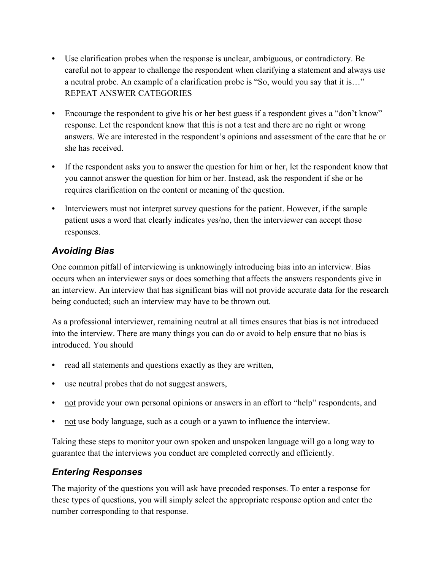- **•** Use clarification probes when the response is unclear, ambiguous, or contradictory. Be careful not to appear to challenge the respondent when clarifying a statement and always use a neutral probe. An example of a clarification probe is "So, would you say that it is…" REPEAT ANSWER CATEGORIES
- Encourage the respondent to give his or her best guess if a respondent gives a "don't know" response. Let the respondent know that this is not a test and there are no right or wrong answers. We are interested in the respondent's opinions and assessment of the care that he or she has received.
- **•** If the respondent asks you to answer the question for him or her, let the respondent know that you cannot answer the question for him or her. Instead, ask the respondent if she or he requires clarification on the content or meaning of the question.
- **•** Interviewers must not interpret survey questions for the patient. However, if the sample patient uses a word that clearly indicates yes/no, then the interviewer can accept those responses.

# *Avoiding Bias*

One common pitfall of interviewing is unknowingly introducing bias into an interview. Bias occurs when an interviewer says or does something that affects the answers respondents give in an interview. An interview that has significant bias will not provide accurate data for the research being conducted; such an interview may have to be thrown out.

As a professional interviewer, remaining neutral at all times ensures that bias is not introduced into the interview. There are many things you can do or avoid to help ensure that no bias is introduced. You should

- **•** read all statements and questions exactly as they are written,
- **•** use neutral probes that do not suggest answers,
- **•** not provide your own personal opinions or answers in an effort to "help" respondents, and
- **•** not use body language, such as a cough or a yawn to influence the interview.

Taking these steps to monitor your own spoken and unspoken language will go a long way to guarantee that the interviews you conduct are completed correctly and efficiently.

### *Entering Responses*

The majority of the questions you will ask have precoded responses. To enter a response for these types of questions, you will simply select the appropriate response option and enter the number corresponding to that response.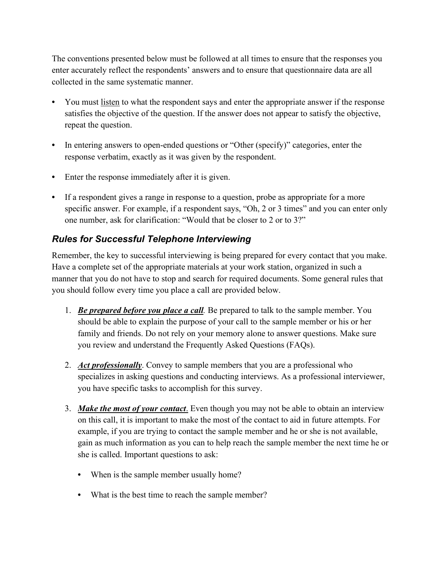The conventions presented below must be followed at all times to ensure that the responses you enter accurately reflect the respondents' answers and to ensure that questionnaire data are all collected in the same systematic manner.

- You must listen to what the respondent says and enter the appropriate answer if the response satisfies the objective of the question. If the answer does not appear to satisfy the objective, repeat the question.
- In entering answers to open-ended questions or "Other (specify)" categories, enter the response verbatim, exactly as it was given by the respondent.
- **•** Enter the response immediately after it is given.
- **•** If a respondent gives a range in response to a question, probe as appropriate for a more specific answer. For example, if a respondent says, "Oh, 2 or 3 times" and you can enter only one number, ask for clarification: "Would that be closer to 2 or to 3?"

#### *Rules for Successful Telephone Interviewing*

Remember, the key to successful interviewing is being prepared for every contact that you make. Have a complete set of the appropriate materials at your work station, organized in such a manner that you do not have to stop and search for required documents. Some general rules that you should follow every time you place a call are provided below.

- 1. *Be prepared before you place a call.* Be prepared to talk to the sample member. You should be able to explain the purpose of your call to the sample member or his or her family and friends. Do not rely on your memory alone to answer questions. Make sure you review and understand the Frequently Asked Questions (FAQs).
- 2. *Act professionally*. Convey to sample members that you are a professional who specializes in asking questions and conducting interviews. As a professional interviewer, you have specific tasks to accomplish for this survey.
- 3. *Make the most of your contact*. Even though you may not be able to obtain an interview on this call, it is important to make the most of the contact to aid in future attempts. For example, if you are trying to contact the sample member and he or she is not available, gain as much information as you can to help reach the sample member the next time he or she is called. Important questions to ask:
	- **•** When is the sample member usually home?
	- **•** What is the best time to reach the sample member?